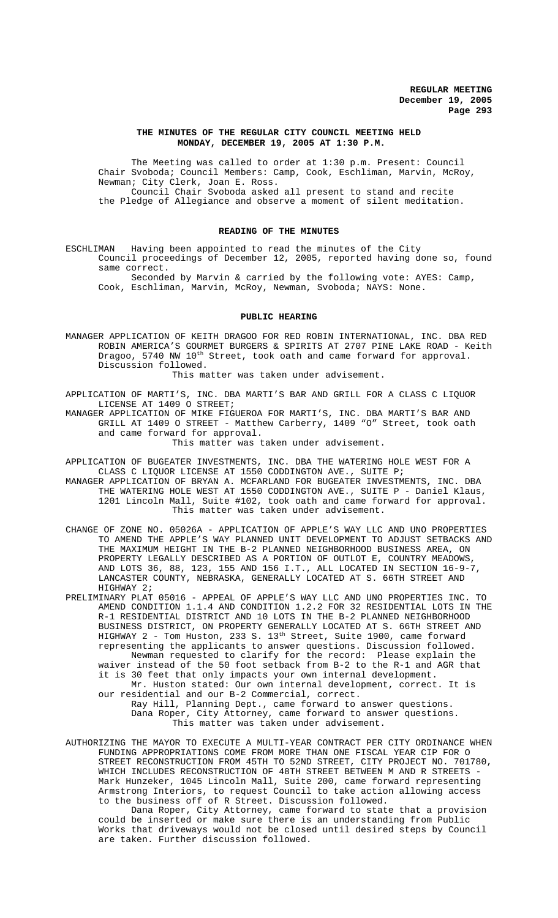#### **THE MINUTES OF THE REGULAR CITY COUNCIL MEETING HELD MONDAY, DECEMBER 19, 2005 AT 1:30 P.M.**

The Meeting was called to order at 1:30 p.m. Present: Council Chair Svoboda; Council Members: Camp, Cook, Eschliman, Marvin, McRoy, Newman; City Clerk, Joan E. Ross. Council Chair Svoboda asked all present to stand and recite the Pledge of Allegiance and observe a moment of silent meditation.

### **READING OF THE MINUTES**

ESCHLIMAN Having been appointed to read the minutes of the City Council proceedings of December 12, 2005, reported having done so, found same correct.

Seconded by Marvin & carried by the following vote: AYES: Camp, Cook, Eschliman, Marvin, McRoy, Newman, Svoboda; NAYS: None.

#### **PUBLIC HEARING**

MANAGER APPLICATION OF KEITH DRAGOO FOR RED ROBIN INTERNATIONAL, INC. DBA RED ROBIN AMERICA'S GOURMET BURGERS & SPIRITS AT 2707 PINE LAKE ROAD - Keith Dragoo, 5740 NW 10<sup>th</sup> Street, took oath and came forward for approval. Discussion followed.

This matter was taken under advisement.

APPLICATION OF MARTI'S, INC. DBA MARTI'S BAR AND GRILL FOR A CLASS C LIQUOR LICENSE AT 1409 O STREET;

MANAGER APPLICATION OF MIKE FIGUEROA FOR MARTI'S, INC. DBA MARTI'S BAR AND GRILL AT 1409 O STREET - Matthew Carberry, 1409 "O" Street, took oath and came forward for approval. This matter was taken under advisement.

APPLICATION OF BUGEATER INVESTMENTS, INC. DBA THE WATERING HOLE WEST FOR A CLASS C LIQUOR LICENSE AT 1550 CODDINGTON AVE., SUITE P;

MANAGER APPLICATION OF BRYAN A. MCFARLAND FOR BUGEATER INVESTMENTS, INC. DBA THE WATERING HOLE WEST AT 1550 CODDINGTON AVE., SUITE P - Daniel Klaus, 1201 Lincoln Mall, Suite #102, took oath and came forward for approval. This matter was taken under advisement.

CHANGE OF ZONE NO. 05026A - APPLICATION OF APPLE'S WAY LLC AND UNO PROPERTIES TO AMEND THE APPLE'S WAY PLANNED UNIT DEVELOPMENT TO ADJUST SETBACKS AND THE MAXIMUM HEIGHT IN THE B-2 PLANNED NEIGHBORHOOD BUSINESS AREA, ON PROPERTY LEGALLY DESCRIBED AS A PORTION OF OUTLOT E, COUNTRY MEADOWS, AND LOTS 36, 88, 123, 155 AND 156 I.T., ALL LOCATED IN SECTION 16-9-7, LANCASTER COUNTY, NEBRASKA, GENERALLY LOCATED AT S. 66TH STREET AND HIGHWAY 2;

PRELIMINARY PLAT 05016 - APPEAL OF APPLE'S WAY LLC AND UNO PROPERTIES INC. TO AMEND CONDITION 1.1.4 AND CONDITION 1.2.2 FOR 32 RESIDENTIAL LOTS IN THE R-1 RESIDENTIAL DISTRICT AND 10 LOTS IN THE B-2 PLANNED NEIGHBORHOOD BUSINESS DISTRICT, ON PROPERTY GENERALLY LOCATED AT S. 66TH STREET AND HIGHWAY 2 - Tom Huston, 233 S. 13<sup>th</sup> Street, Suite 1900, came forward representing the applicants to answer questions. Discussion followed. Newman requested to clarify for the record: Please explain the waiver instead of the 50 foot setback from B-2 to the R-1 and AGR that it is 30 feet that only impacts your own internal development. Mr. Huston stated: Our own internal development, correct. It is our residential and our B-2 Commercial, correct.

Ray Hill, Planning Dept., came forward to answer questions. Dana Roper, City Attorney, came forward to answer questions. This matter was taken under advisement.

AUTHORIZING THE MAYOR TO EXECUTE A MULTI-YEAR CONTRACT PER CITY ORDINANCE WHEN FUNDING APPROPRIATIONS COME FROM MORE THAN ONE FISCAL YEAR CIP FOR O STREET RECONSTRUCTION FROM 45TH TO 52ND STREET, CITY PROJECT NO. 701780, WHICH INCLUDES RECONSTRUCTION OF 48TH STREET BETWEEN M AND R STREETS -Mark Hunzeker, 1045 Lincoln Mall, Suite 200, came forward representing Armstrong Interiors, to request Council to take action allowing access to the business off of R Street. Discussion followed.

Dana Roper, City Attorney, came forward to state that a provision could be inserted or make sure there is an understanding from Public Works that driveways would not be closed until desired steps by Council are taken. Further discussion followed.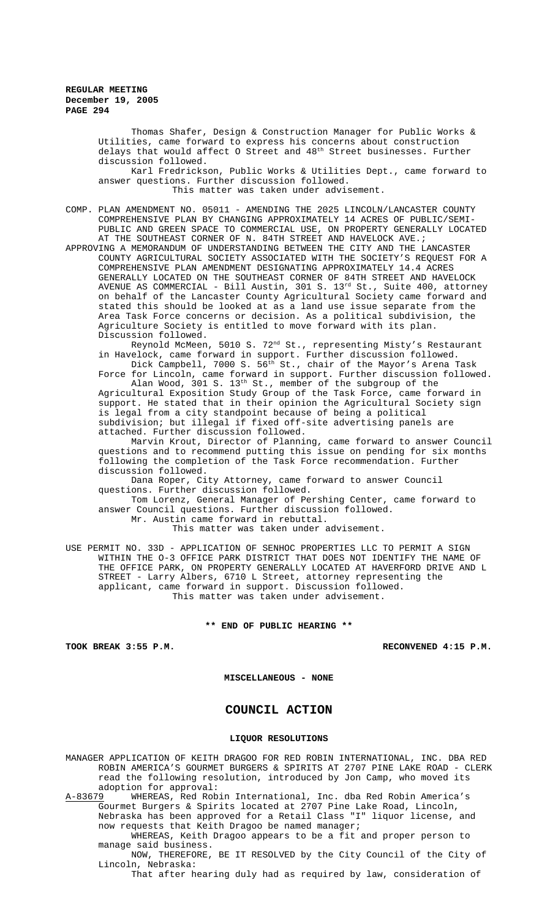Thomas Shafer, Design & Construction Manager for Public Works & Utilities, came forward to express his concerns about construction delays that would affect O Street and  $48^{\rm th}$  Street businesses. Further discussion followed.

Karl Fredrickson, Public Works & Utilities Dept., came forward to answer questions. Further discussion followed.

This matter was taken under advisement.

COMP. PLAN AMENDMENT NO. 05011 - AMENDING THE 2025 LINCOLN/LANCASTER COUNTY COMPREHENSIVE PLAN BY CHANGING APPROXIMATELY 14 ACRES OF PUBLIC/SEMI-PUBLIC AND GREEN SPACE TO COMMERCIAL USE, ON PROPERTY GENERALLY LOCATED AT THE SOUTHEAST CORNER OF N. 84TH STREET AND HAVELOCK AVE.;

APPROVING A MEMORANDUM OF UNDERSTANDING BETWEEN THE CITY AND THE LANCASTER COUNTY AGRICULTURAL SOCIETY ASSOCIATED WITH THE SOCIETY'S REQUEST FOR A COMPREHENSIVE PLAN AMENDMENT DESIGNATING APPROXIMATELY 14.4 ACRES GENERALLY LOCATED ON THE SOUTHEAST CORNER OF 84TH STREET AND HAVELOCK AVENUE AS COMMERCIAL - Bill Austin, 301 S. 13<sup>rd</sup> St., Suite 400, attorney on behalf of the Lancaster County Agricultural Society came forward and stated this should be looked at as a land use issue separate from the Area Task Force concerns or decision. As a political subdivision, the Agriculture Society is entitled to move forward with its plan. Discussion followed.

Reynold McMeen, 5010 S. 72nd St., representing Misty's Restaurant in Havelock, came forward in support. Further discussion followed. Dick Campbell, 7000 S. 56th St., chair of the Mayor's Arena Task

Force for Lincoln, came forward in support. Further discussion followed. Alan Wood, 301 S. 13th St., member of the subgroup of the Agricultural Exposition Study Group of the Task Force, came forward in support. He stated that in their opinion the Agricultural Society sign is legal from a city standpoint because of being a political

subdivision; but illegal if fixed off-site advertising panels are attached. Further discussion followed.

Marvin Krout, Director of Planning, came forward to answer Council questions and to recommend putting this issue on pending for six months following the completion of the Task Force recommendation. Further discussion followed.

Dana Roper, City Attorney, came forward to answer Council questions. Further discussion followed.

Tom Lorenz, General Manager of Pershing Center, came forward to answer Council questions. Further discussion followed.

Mr. Austin came forward in rebuttal.

This matter was taken under advisement.

USE PERMIT NO. 33D - APPLICATION OF SENHOC PROPERTIES LLC TO PERMIT A SIGN WITHIN THE O-3 OFFICE PARK DISTRICT THAT DOES NOT IDENTIFY THE NAME OF THE OFFICE PARK, ON PROPERTY GENERALLY LOCATED AT HAVERFORD DRIVE AND L STREET - Larry Albers, 6710 L Street, attorney representing the applicant, came forward in support. Discussion followed. This matter was taken under advisement.

**\*\* END OF PUBLIC HEARING \*\***

**TOOK BREAK 3:55 P.M. RECONVENED 4:15 P.M.**

**MISCELLANEOUS - NONE**

# **COUNCIL ACTION**

#### **LIQUOR RESOLUTIONS**

MANAGER APPLICATION OF KEITH DRAGOO FOR RED ROBIN INTERNATIONAL, INC. DBA RED ROBIN AMERICA'S GOURMET BURGERS & SPIRITS AT 2707 PINE LAKE ROAD - CLERK read the following resolution, introduced by Jon Camp, who moved its adoption for approval:<br>A-83679 WHEREAS, Red Rob

A-83679 WHEREAS, Red Robin International, Inc. dba Red Robin America's Gourmet Burgers & Spirits located at 2707 Pine Lake Road, Lincoln, Nebraska has been approved for a Retail Class "I" liquor license, and now requests that Keith Dragoo be named manager;

WHEREAS, Keith Dragoo appears to be a fit and proper person to manage said business.

NOW, THEREFORE, BE IT RESOLVED by the City Council of the City of Lincoln, Nebraska:

That after hearing duly had as required by law, consideration of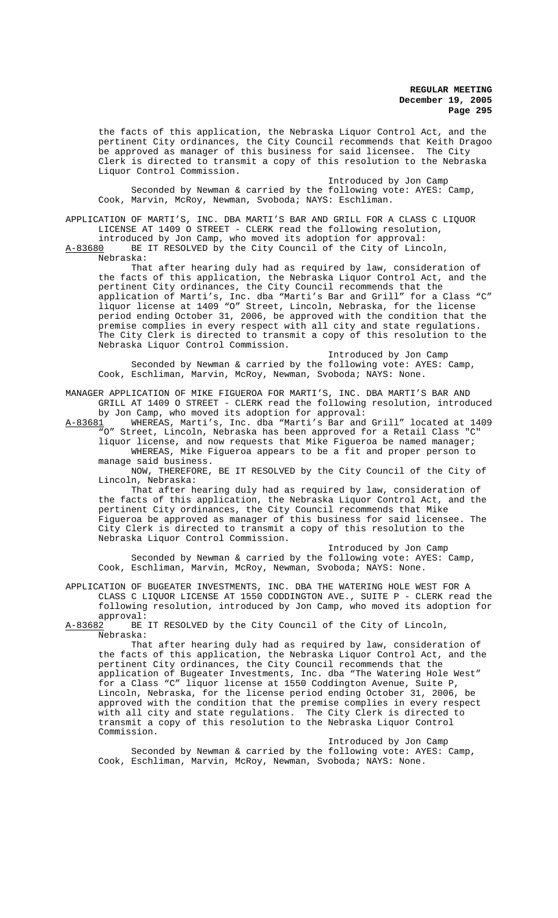the facts of this application, the Nebraska Liquor Control Act, and the pertinent City ordinances, the City Council recommends that Keith Dragoo be approved as manager of this business for said licensee. The City Clerk is directed to transmit a copy of this resolution to the Nebraska Liquor Control Commission.

Introduced by Jon Camp Seconded by Newman & carried by the following vote: AYES: Camp, Cook, Marvin, McRoy, Newman, Svoboda; NAYS: Eschliman.

APPLICATION OF MARTI'S, INC. DBA MARTI'S BAR AND GRILL FOR A CLASS C LIQUOR LICENSE AT 1409 O STREET - CLERK read the following resolution,

introduced by Jon Camp, who moved its adoption for approval: A-83680 BE IT RESOLVED by the City Council of the City of Lincoln, Nebraska:

That after hearing duly had as required by law, consideration of the facts of this application, the Nebraska Liquor Control Act, and the pertinent City ordinances, the City Council recommends that the application of Marti's, Inc. dba "Marti's Bar and Grill" for a Class "C" liquor license at 1409 "O" Street, Lincoln, Nebraska, for the license period ending October 31, 2006, be approved with the condition that the premise complies in every respect with all city and state regulations. The City Clerk is directed to transmit a copy of this resolution to the Nebraska Liquor Control Commission.

Introduced by Jon Camp Seconded by Newman & carried by the following vote: AYES: Camp, Cook, Eschliman, Marvin, McRoy, Newman, Svoboda; NAYS: None.

MANAGER APPLICATION OF MIKE FIGUEROA FOR MARTI'S, INC. DBA MARTI'S BAR AND GRILL AT 1409 O STREET - CLERK read the following resolution, introduced by Jon Camp, who moved its adoption for approval:<br>A-83681 WHEREAS, Marti's, Inc. dba "Marti's Bar and

WHEREAS, Marti's, Inc. dba "Marti's Bar and Grill" located at 1409 "O" Street, Lincoln, Nebraska has been approved for a Retail Class "C"

liquor license, and now requests that Mike Figueroa be named manager; WHEREAS, Mike Figueroa appears to be a fit and proper person to manage said business.

NOW, THEREFORE, BE IT RESOLVED by the City Council of the City of Lincoln, Nebraska:

That after hearing duly had as required by law, consideration of the facts of this application, the Nebraska Liquor Control Act, and the pertinent City ordinances, the City Council recommends that Mike Figueroa be approved as manager of this business for said licensee. The City Clerk is directed to transmit a copy of this resolution to the Nebraska Liquor Control Commission.

Introduced by Jon Camp

Seconded by Newman & carried by the following vote: AYES: Camp, Cook, Eschliman, Marvin, McRoy, Newman, Svoboda; NAYS: None.

APPLICATION OF BUGEATER INVESTMENTS, INC. DBA THE WATERING HOLE WEST FOR A CLASS C LIQUOR LICENSE AT 1550 CODDINGTON AVE., SUITE P - CLERK read the following resolution, introduced by Jon Camp, who moved its adoption for

approval:<br><u>A-83682</u> BE BE IT RESOLVED by the City Council of the City of Lincoln, Nebraska:

That after hearing duly had as required by law, consideration of the facts of this application, the Nebraska Liquor Control Act, and the pertinent City ordinances, the City Council recommends that the application of Bugeater Investments, Inc. dba "The Watering Hole West" for a Class "C" liquor license at 1550 Coddington Avenue, Suite P, Lincoln, Nebraska, for the license period ending October 31, 2006, be approved with the condition that the premise complies in every respect with all city and state regulations. The City Clerk is directed to transmit a copy of this resolution to the Nebraska Liquor Control Commission.

Introduced by Jon Camp Seconded by Newman & carried by the following vote: AYES: Camp, Cook, Eschliman, Marvin, McRoy, Newman, Svoboda; NAYS: None.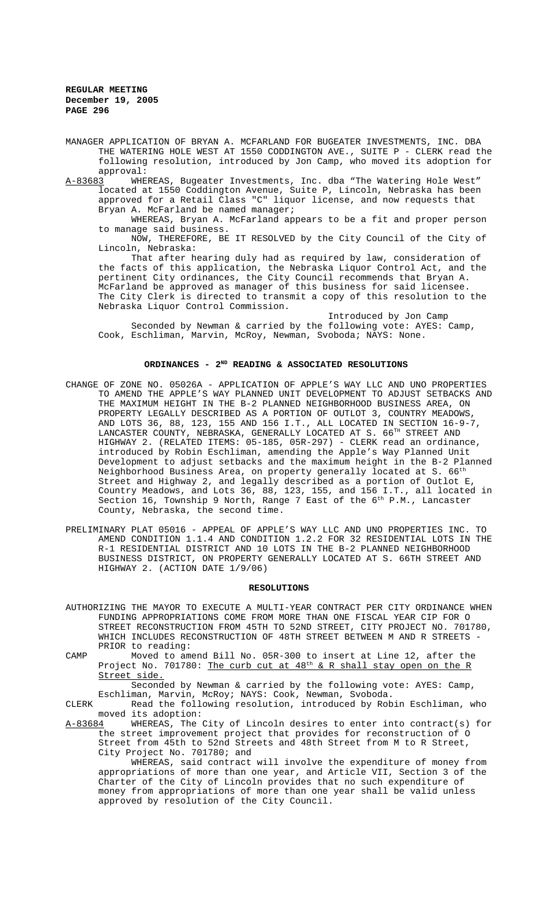- MANAGER APPLICATION OF BRYAN A. MCFARLAND FOR BUGEATER INVESTMENTS, INC. DBA THE WATERING HOLE WEST AT 1550 CODDINGTON AVE., SUITE P - CLERK read the following resolution, introduced by Jon Camp, who moved its adoption for approval:<br><u>A-83683</u> WHE
- WHEREAS, Bugeater Investments, Inc. dba "The Watering Hole West" located at 1550 Coddington Avenue, Suite P, Lincoln, Nebraska has been approved for a Retail Class "C" liquor license, and now requests that Bryan A. McFarland be named manager;

WHEREAS, Bryan A. McFarland appears to be a fit and proper person to manage said business.

NOW, THEREFORE, BE IT RESOLVED by the City Council of the City of Lincoln, Nebraska:

That after hearing duly had as required by law, consideration of the facts of this application, the Nebraska Liquor Control Act, and the pertinent City ordinances, the City Council recommends that Bryan A. McFarland be approved as manager of this business for said licensee. The City Clerk is directed to transmit a copy of this resolution to the Nebraska Liquor Control Commission.

Introduced by Jon Camp Seconded by Newman & carried by the following vote: AYES: Camp, Cook, Eschliman, Marvin, McRoy, Newman, Svoboda; NAYS: None.

### ORDINANCES - 2<sup>ND</sup> READING & ASSOCIATED RESOLUTIONS

- CHANGE OF ZONE NO. 05026A APPLICATION OF APPLE'S WAY LLC AND UNO PROPERTIES TO AMEND THE APPLE'S WAY PLANNED UNIT DEVELOPMENT TO ADJUST SETBACKS AND THE MAXIMUM HEIGHT IN THE B-2 PLANNED NEIGHBORHOOD BUSINESS AREA, ON PROPERTY LEGALLY DESCRIBED AS A PORTION OF OUTLOT 3, COUNTRY MEADOWS, AND LOTS 36, 88, 123, 155 AND 156 I.T., ALL LOCATED IN SECTION 16-9-7, LANCASTER COUNTY, NEBRASKA, GENERALLY LOCATED AT S. 66TH STREET AND HIGHWAY 2. (RELATED ITEMS: 05-185, 05R-297) - CLERK read an ordinance, introduced by Robin Eschliman, amending the Apple's Way Planned Unit Development to adjust setbacks and the maximum height in the B-2 Planned Neighborhood Business Area, on property generally located at S. 66<sup>th</sup> Street and Highway 2, and legally described as a portion of Outlot E, Country Meadows, and Lots 36, 88, 123, 155, and 156 I.T., all located in Section 16, Township 9 North, Range 7 East of the  $6^\text{th}$  P.M., Lancaster County, Nebraska, the second time.
- PRELIMINARY PLAT 05016 APPEAL OF APPLE'S WAY LLC AND UNO PROPERTIES INC. TO AMEND CONDITION 1.1.4 AND CONDITION 1.2.2 FOR 32 RESIDENTIAL LOTS IN THE R-1 RESIDENTIAL DISTRICT AND 10 LOTS IN THE B-2 PLANNED NEIGHBORHOOD BUSINESS DISTRICT, ON PROPERTY GENERALLY LOCATED AT S. 66TH STREET AND HIGHWAY 2. (ACTION DATE 1/9/06)

#### **RESOLUTIONS**

- AUTHORIZING THE MAYOR TO EXECUTE A MULTI-YEAR CONTRACT PER CITY ORDINANCE WHEN FUNDING APPROPRIATIONS COME FROM MORE THAN ONE FISCAL YEAR CIP FOR O STREET RECONSTRUCTION FROM 45TH TO 52ND STREET, CITY PROJECT NO. 701780, WHICH INCLUDES RECONSTRUCTION OF 48TH STREET BETWEEN M AND R STREETS PRIOR to reading:
- CAMP Moved to amend Bill No. 05R-300 to insert at Line 12, after the Project No. 701780: <u>The curb cut at 48<sup>th</sup> & R shall stay open on the R</u> Street side.

Seconded by Newman & carried by the following vote: AYES: Camp, Eschliman, Marvin, McRoy; NAYS: Cook, Newman, Svoboda.

CLERK Read the following resolution, introduced by Robin Eschliman, who moved its adoption:

A-83684 WHEREAS, The City of Lincoln desires to enter into contract(s) for the street improvement project that provides for reconstruction of O Street from 45th to 52nd Streets and 48th Street from M to R Street, City Project No. 701780; and

WHEREAS, said contract will involve the expenditure of money from appropriations of more than one year, and Article VII, Section 3 of the Charter of the City of Lincoln provides that no such expenditure of money from appropriations of more than one year shall be valid unless approved by resolution of the City Council.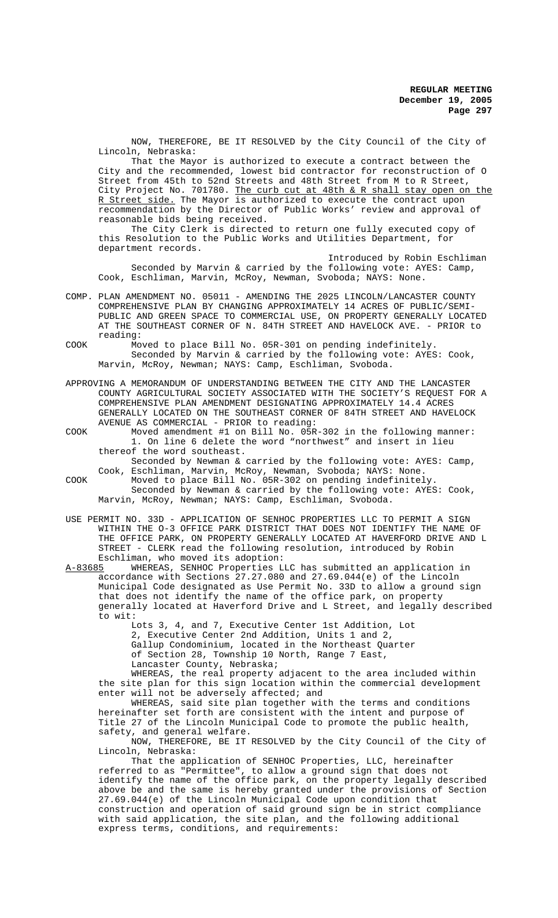NOW, THEREFORE, BE IT RESOLVED by the City Council of the City of Lincoln, Nebraska:

That the Mayor is authorized to execute a contract between the City and the recommended, lowest bid contractor for reconstruction of O Street from 45th to 52nd Streets and 48th Street from M to R Street, City Project No. 701780. <u>The curb cut at 48th & R shall stay open on the</u> R Street side. The Mayor is authorized to execute the contract upon recommendation by the Director of Public Works' review and approval of reasonable bids being received.

The City Clerk is directed to return one fully executed copy of this Resolution to the Public Works and Utilities Department, for department records.

Introduced by Robin Eschliman Seconded by Marvin & carried by the following vote: AYES: Camp, Cook, Eschliman, Marvin, McRoy, Newman, Svoboda; NAYS: None.

- COMP. PLAN AMENDMENT NO. 05011 AMENDING THE 2025 LINCOLN/LANCASTER COUNTY COMPREHENSIVE PLAN BY CHANGING APPROXIMATELY 14 ACRES OF PUBLIC/SEMI-PUBLIC AND GREEN SPACE TO COMMERCIAL USE, ON PROPERTY GENERALLY LOCATED AT THE SOUTHEAST CORNER OF N. 84TH STREET AND HAVELOCK AVE. - PRIOR to reading:
- COOK Moved to place Bill No. 05R-301 on pending indefinitely. Seconded by Marvin & carried by the following vote: AYES: Cook, Marvin, McRoy, Newman; NAYS: Camp, Eschliman, Svoboda.
- APPROVING A MEMORANDUM OF UNDERSTANDING BETWEEN THE CITY AND THE LANCASTER COUNTY AGRICULTURAL SOCIETY ASSOCIATED WITH THE SOCIETY'S REQUEST FOR A COMPREHENSIVE PLAN AMENDMENT DESIGNATING APPROXIMATELY 14.4 ACRES GENERALLY LOCATED ON THE SOUTHEAST CORNER OF 84TH STREET AND HAVELOCK AVENUE AS COMMERCIAL - PRIOR to reading:
- COOK Moved amendment #1 on Bill No. 05R-302 in the following manner: 1. On line 6 delete the word "northwest" and insert in lieu thereof the word southeast.
	- Seconded by Newman & carried by the following vote: AYES: Camp, Cook, Eschliman, Marvin, McRoy, Newman, Svoboda; NAYS: None.
- COOK Moved to place Bill No. 05R-302 on pending indefinitely. Seconded by Newman & carried by the following vote: AYES: Cook, Marvin, McRoy, Newman; NAYS: Camp, Eschliman, Svoboda.
- USE PERMIT NO. 33D APPLICATION OF SENHOC PROPERTIES LLC TO PERMIT A SIGN WITHIN THE O-3 OFFICE PARK DISTRICT THAT DOES NOT IDENTIFY THE NAME OF THE OFFICE PARK, ON PROPERTY GENERALLY LOCATED AT HAVERFORD DRIVE AND L STREET - CLERK read the following resolution, introduced by Robin Eschliman, who moved its adoption:
- A-83685 WHEREAS, SENHOC Properties LLC has submitted an application in accordance with Sections 27.27.080 and 27.69.044(e) of the Lincoln Municipal Code designated as Use Permit No. 33D to allow a ground sign that does not identify the name of the office park, on property generally located at Haverford Drive and L Street, and legally described to wit:

Lots 3, 4, and 7, Executive Center 1st Addition, Lot 2, Executive Center 2nd Addition, Units 1 and 2, Gallup Condominium, located in the Northeast Quarter of Section 28, Township 10 North, Range 7 East, Lancaster County, Nebraska;

WHEREAS, the real property adjacent to the area included within the site plan for this sign location within the commercial development enter will not be adversely affected; and

WHEREAS, said site plan together with the terms and conditions hereinafter set forth are consistent with the intent and purpose of Title 27 of the Lincoln Municipal Code to promote the public health, safety, and general welfare.

NOW, THEREFORE, BE IT RESOLVED by the City Council of the City of Lincoln, Nebraska:

That the application of SENHOC Properties, LLC, hereinafter referred to as "Permittee", to allow a ground sign that does not identify the name of the office park, on the property legally described above be and the same is hereby granted under the provisions of Section 27.69.044(e) of the Lincoln Municipal Code upon condition that construction and operation of said ground sign be in strict compliance with said application, the site plan, and the following additional express terms, conditions, and requirements: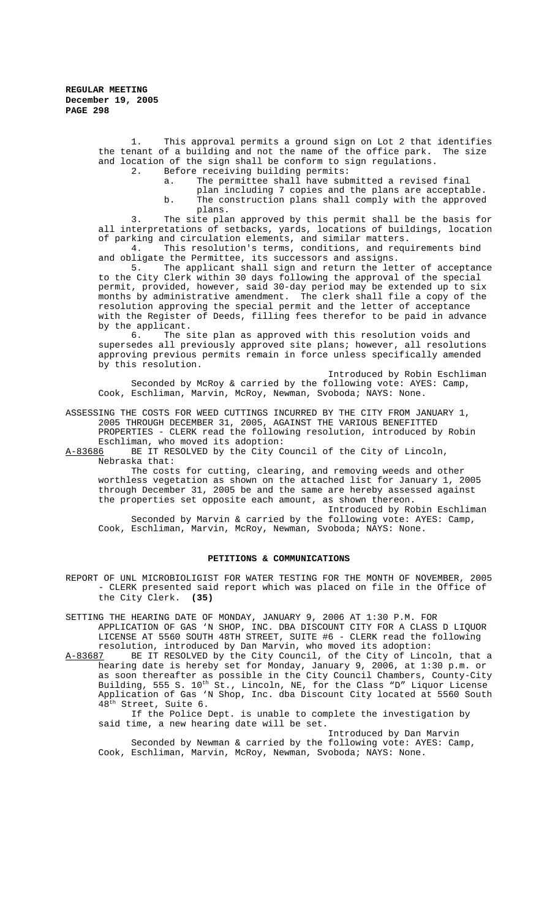> 1. This approval permits a ground sign on Lot 2 that identifies the tenant of a building and not the name of the office park. The size and location of the sign shall be conform to sign regulations.<br>2. Before receiving building permits:

Before receiving building permits:

a. The permittee shall have submitted a revised final

plan including 7 copies and the plans are acceptable. b. The construction plans shall comply with the approved plans.

3. The site plan approved by this permit shall be the basis for all interpretations of setbacks, yards, locations of buildings, location of parking and circulation elements, and similar matters.

4. This resolution's terms, conditions, and requirements bind and obligate the Permittee, its successors and assigns.

5. The applicant shall sign and return the letter of acceptance to the City Clerk within 30 days following the approval of the special permit, provided, however, said 30-day period may be extended up to six months by administrative amendment. The clerk shall file a copy of the resolution approving the special permit and the letter of acceptance with the Register of Deeds, filling fees therefor to be paid in advance by the applicant.<br>6. The s

The site plan as approved with this resolution voids and supersedes all previously approved site plans; however, all resolutions approving previous permits remain in force unless specifically amended by this resolution.

Introduced by Robin Eschliman Seconded by McRoy & carried by the following vote: AYES: Camp, Cook, Eschliman, Marvin, McRoy, Newman, Svoboda; NAYS: None.

ASSESSING THE COSTS FOR WEED CUTTINGS INCURRED BY THE CITY FROM JANUARY 1, 2005 THROUGH DECEMBER 31, 2005, AGAINST THE VARIOUS BENEFITTED PROPERTIES - CLERK read the following resolution, introduced by Robin Eschliman, who moved its adoption:

A-83686 BE IT RESOLVED by the City Council of the City of Lincoln, Nebraska that:

The costs for cutting, clearing, and removing weeds and other worthless vegetation as shown on the attached list for January 1, 2005 through December 31, 2005 be and the same are hereby assessed against the properties set opposite each amount, as shown thereon.

Introduced by Robin Eschliman Seconded by Marvin & carried by the following vote: AYES: Camp, Cook, Eschliman, Marvin, McRoy, Newman, Svoboda; NAYS: None.

#### **PETITIONS & COMMUNICATIONS**

REPORT OF UNL MICROBIOLIGIST FOR WATER TESTING FOR THE MONTH OF NOVEMBER, 2005 - CLERK presented said report which was placed on file in the Office of the City Clerk. **(35)**

SETTING THE HEARING DATE OF MONDAY, JANUARY 9, 2006 AT 1:30 P.M. FOR APPLICATION OF GAS 'N SHOP, INC. DBA DISCOUNT CITY FOR A CLASS D LIQUOR LICENSE AT 5560 SOUTH 48TH STREET, SUITE #6 - CLERK read the following resolution, introduced by Dan Marvin, who moved its adoption:

A-83687 BE IT RESOLVED by the City Council, of the City of Lincoln, that a hearing date is hereby set for Monday, January 9, 2006, at 1:30 p.m. or as soon thereafter as possible in the City Council Chambers, County-City Building, 555 S.  $10^{\text{th}}$  St., Lincoln, NE, for the Class "D" Liquor License Application of Gas 'N Shop, Inc. dba Discount City located at 5560 South 48th Street, Suite 6.

If the Police Dept. is unable to complete the investigation by said time, a new hearing date will be set.

Introduced by Dan Marvin Seconded by Newman & carried by the following vote: AYES: Camp, Cook, Eschliman, Marvin, McRoy, Newman, Svoboda; NAYS: None.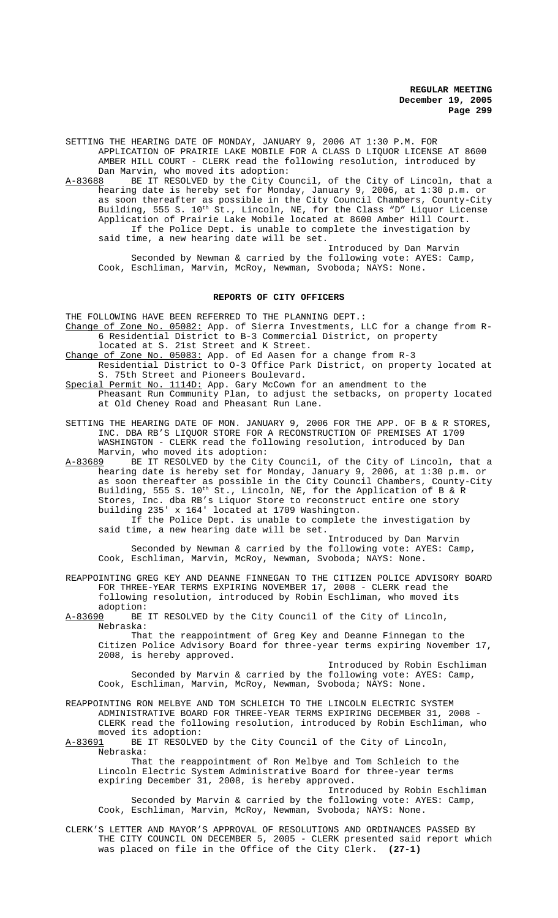SETTING THE HEARING DATE OF MONDAY, JANUARY 9, 2006 AT 1:30 P.M. FOR APPLICATION OF PRAIRIE LAKE MOBILE FOR A CLASS D LIQUOR LICENSE AT 8600 AMBER HILL COURT - CLERK read the following resolution, introduced by Dan Marvin, who moved its adoption:<br>A-83688 BE IT RESOLVED by the City Co

BE IT RESOLVED by the City Council, of the City of Lincoln, that a hearing date is hereby set for Monday, January 9, 2006, at 1:30 p.m. or as soon thereafter as possible in the City Council Chambers, County-City Building, 555 S. 10<sup>th</sup> St., Lincoln, NE, for the Class "D" Liquor License Application of Prairie Lake Mobile located at 8600 Amber Hill Court. If the Police Dept. is unable to complete the investigation by said time, a new hearing date will be set.

Introduced by Dan Marvin Seconded by Newman & carried by the following vote: AYES: Camp, Cook, Eschliman, Marvin, McRoy, Newman, Svoboda; NAYS: None.

#### **REPORTS OF CITY OFFICERS**

THE FOLLOWING HAVE BEEN REFERRED TO THE PLANNING DEPT.:

Change of Zone No. 05082: App. of Sierra Investments, LLC for a change from R-6 Residential District to B-3 Commercial District, on property located at S. 21st Street and K Street.

- Change of Zone No. 05083: App. of Ed Aasen for a change from R-3 Residential District to O-3 Office Park District, on property located at S. 75th Street and Pioneers Boulevard.
- Special Permit No. 1114D: App. Gary McCown for an amendment to the Pheasant Run Community Plan, to adjust the setbacks, on property located at Old Cheney Road and Pheasant Run Lane.
- SETTING THE HEARING DATE OF MON. JANUARY 9, 2006 FOR THE APP. OF B & R STORES, INC. DBA RB'S LIQUOR STORE FOR A RECONSTRUCTION OF PREMISES AT 1709 WASHINGTON - CLERK read the following resolution, introduced by Dan Marvin, who moved its adoption:<br>A-83689 BE IT RESOLVED by the City
- BE IT RESOLVED by the City Council, of the City of Lincoln, that a hearing date is hereby set for Monday, January 9, 2006, at 1:30 p.m. or as soon thereafter as possible in the City Council Chambers, County-City Building, 555 S. 10<sup>th</sup> St., Lincoln, NE, for the Application of B & R Stores, Inc. dba RB's Liquor Store to reconstruct entire one story building 235' x 164' located at 1709 Washington.

If the Police Dept. is unable to complete the investigation by said time, a new hearing date will be set.

Introduced by Dan Marvin Seconded by Newman & carried by the following vote: AYES: Camp, Cook, Eschliman, Marvin, McRoy, Newman, Svoboda; NAYS: None.

- REAPPOINTING GREG KEY AND DEANNE FINNEGAN TO THE CITIZEN POLICE ADVISORY BOARD FOR THREE-YEAR TERMS EXPIRING NOVEMBER 17, 2008 - CLERK read the following resolution, introduced by Robin Eschliman, who moved its adoption:
- A-83690 BE IT RESOLVED by the City Council of the City of Lincoln, Nebraska:

That the reappointment of Greg Key and Deanne Finnegan to the Citizen Police Advisory Board for three-year terms expiring November 17, 2008, is hereby approved.

Introduced by Robin Eschliman Seconded by Marvin & carried by the following vote: AYES: Camp, Cook, Eschliman, Marvin, McRoy, Newman, Svoboda; NAYS: None.

REAPPOINTING RON MELBYE AND TOM SCHLEICH TO THE LINCOLN ELECTRIC SYSTEM ADMINISTRATIVE BOARD FOR THREE-YEAR TERMS EXPIRING DECEMBER 31, 2008 CLERK read the following resolution, introduced by Robin Eschliman, who moved its adoption:<br>A-83691 BE IT RESOLVE

BE IT RESOLVED by the City Council of the City of Lincoln, Nebraska:

That the reappointment of Ron Melbye and Tom Schleich to the Lincoln Electric System Administrative Board for three-year terms expiring December 31, 2008, is hereby approved.

Introduced by Robin Eschliman Seconded by Marvin & carried by the following vote: AYES: Camp, Cook, Eschliman, Marvin, McRoy, Newman, Svoboda; NAYS: None.

CLERK'S LETTER AND MAYOR'S APPROVAL OF RESOLUTIONS AND ORDINANCES PASSED BY THE CITY COUNCIL ON DECEMBER 5, 2005 - CLERK presented said report which was placed on file in the Office of the City Clerk. **(27-1)**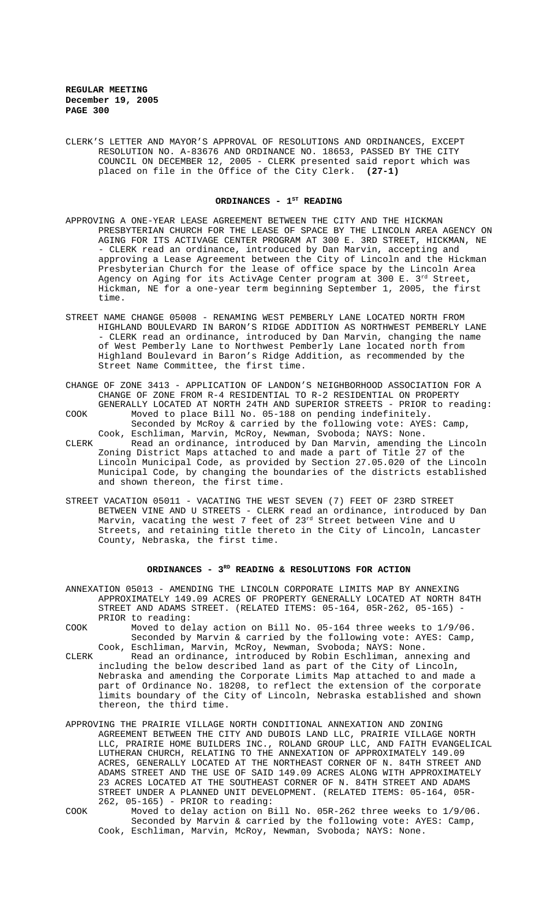CLERK'S LETTER AND MAYOR'S APPROVAL OF RESOLUTIONS AND ORDINANCES, EXCEPT RESOLUTION NO. A-83676 AND ORDINANCE NO. 18653, PASSED BY THE CITY COUNCIL ON DECEMBER 12, 2005 - CLERK presented said report which was placed on file in the Office of the City Clerk. **(27-1)**

### ORDINANCES - 1<sup>ST</sup> READING

- APPROVING A ONE-YEAR LEASE AGREEMENT BETWEEN THE CITY AND THE HICKMAN PRESBYTERIAN CHURCH FOR THE LEASE OF SPACE BY THE LINCOLN AREA AGENCY ON AGING FOR ITS ACTIVAGE CENTER PROGRAM AT 300 E. 3RD STREET, HICKMAN, NE - CLERK read an ordinance, introduced by Dan Marvin, accepting and approving a Lease Agreement between the City of Lincoln and the Hickman Presbyterian Church for the lease of office space by the Lincoln Area Agency on Aging for its ActivAge Center program at  $300$  E. 3<sup>rd</sup> Street, Hickman, NE for a one-year term beginning September 1, 2005, the first time.
- STREET NAME CHANGE 05008 RENAMING WEST PEMBERLY LANE LOCATED NORTH FROM HIGHLAND BOULEVARD IN BARON'S RIDGE ADDITION AS NORTHWEST PEMBERLY LANE - CLERK read an ordinance, introduced by Dan Marvin, changing the name of West Pemberly Lane to Northwest Pemberly Lane located north from Highland Boulevard in Baron's Ridge Addition, as recommended by the Street Name Committee, the first time.
- CHANGE OF ZONE 3413 APPLICATION OF LANDON'S NEIGHBORHOOD ASSOCIATION FOR A CHANGE OF ZONE FROM R-4 RESIDENTIAL TO R-2 RESIDENTIAL ON PROPERTY GENERALLY LOCATED AT NORTH 24TH AND SUPERIOR STREETS - PRIOR to reading:
- COOK Moved to place Bill No. 05-188 on pending indefinitely. Seconded by McRoy & carried by the following vote: AYES: Camp, Cook, Eschliman, Marvin, McRoy, Newman, Svoboda; NAYS: None.
- CLERK Read an ordinance, introduced by Dan Marvin, amending the Lincoln Zoning District Maps attached to and made a part of Title 27 of the Lincoln Municipal Code, as provided by Section 27.05.020 of the Lincoln Municipal Code, by changing the boundaries of the districts established and shown thereon, the first time.
- STREET VACATION 05011 VACATING THE WEST SEVEN (7) FEET OF 23RD STREET BETWEEN VINE AND U STREETS - CLERK read an ordinance, introduced by Dan Marvin, vacating the west 7 feet of 23<sup>rd</sup> Street between Vine and U Streets, and retaining title thereto in the City of Lincoln, Lancaster County, Nebraska, the first time.

#### ORDINANCES - 3<sup>RD</sup> READING & RESOLUTIONS FOR ACTION

- ANNEXATION 05013 AMENDING THE LINCOLN CORPORATE LIMITS MAP BY ANNEXING APPROXIMATELY 149.09 ACRES OF PROPERTY GENERALLY LOCATED AT NORTH 84TH STREET AND ADAMS STREET. (RELATED ITEMS: 05-164, 05R-262, 05-165) PRIOR to reading:
- COOK Moved to delay action on Bill No. 05-164 three weeks to 1/9/06. Seconded by Marvin & carried by the following vote: AYES: Camp, Cook, Eschliman, Marvin, McRoy, Newman, Svoboda; NAYS: None.
- CLERK Read an ordinance, introduced by Robin Eschliman, annexing and including the below described land as part of the City of Lincoln, Nebraska and amending the Corporate Limits Map attached to and made a part of Ordinance No. 18208, to reflect the extension of the corporate limits boundary of the City of Lincoln, Nebraska established and shown thereon, the third time.
- APPROVING THE PRAIRIE VILLAGE NORTH CONDITIONAL ANNEXATION AND ZONING AGREEMENT BETWEEN THE CITY AND DUBOIS LAND LLC, PRAIRIE VILLAGE NORTH LLC, PRAIRIE HOME BUILDERS INC., ROLAND GROUP LLC, AND FAITH EVANGELICAL LUTHERAN CHURCH, RELATING TO THE ANNEXATION OF APPROXIMATELY 149.09 ACRES, GENERALLY LOCATED AT THE NORTHEAST CORNER OF N. 84TH STREET AND ADAMS STREET AND THE USE OF SAID 149.09 ACRES ALONG WITH APPROXIMATELY 23 ACRES LOCATED AT THE SOUTHEAST CORNER OF N. 84TH STREET AND ADAMS STREET UNDER A PLANNED UNIT DEVELOPMENT. (RELATED ITEMS: 05-164, 05R-262, 05-165) - PRIOR to reading:
- COOK Moved to delay action on Bill No. 05R-262 three weeks to 1/9/06. Seconded by Marvin & carried by the following vote: AYES: Camp, Cook, Eschliman, Marvin, McRoy, Newman, Svoboda; NAYS: None.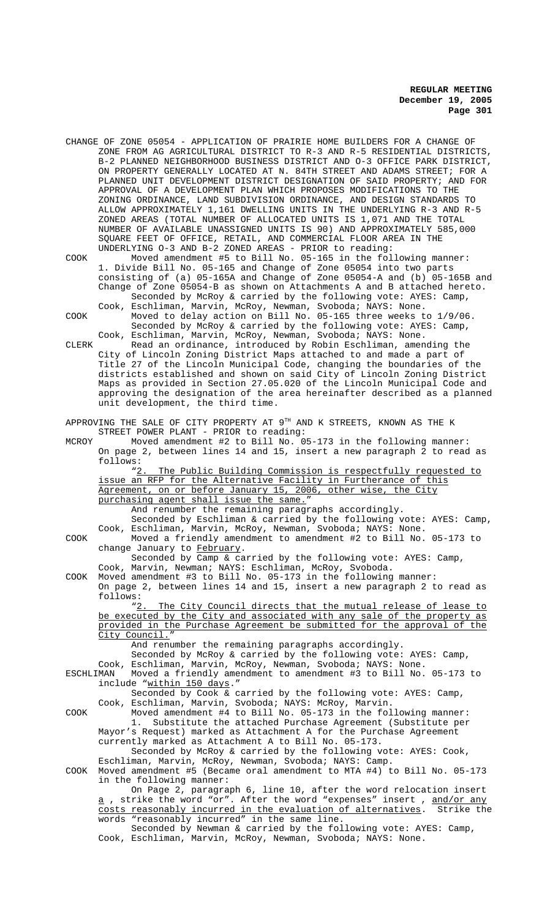CHANGE OF ZONE 05054 - APPLICATION OF PRAIRIE HOME BUILDERS FOR A CHANGE OF ZONE FROM AG AGRICULTURAL DISTRICT TO R-3 AND R-5 RESIDENTIAL DISTRICTS, B-2 PLANNED NEIGHBORHOOD BUSINESS DISTRICT AND O-3 OFFICE PARK DISTRICT, ON PROPERTY GENERALLY LOCATED AT N. 84TH STREET AND ADAMS STREET; FOR A PLANNED UNIT DEVELOPMENT DISTRICT DESIGNATION OF SAID PROPERTY; AND FOR APPROVAL OF A DEVELOPMENT PLAN WHICH PROPOSES MODIFICATIONS TO THE ZONING ORDINANCE, LAND SUBDIVISION ORDINANCE, AND DESIGN STANDARDS TO ALLOW APPROXIMATELY 1,161 DWELLING UNITS IN THE UNDERLYING R-3 AND R-5 ZONED AREAS (TOTAL NUMBER OF ALLOCATED UNITS IS 1,071 AND THE TOTAL NUMBER OF AVAILABLE UNASSIGNED UNITS IS 90) AND APPROXIMATELY 585,000 SQUARE FEET OF OFFICE, RETAIL, AND COMMERCIAL FLOOR AREA IN THE UNDERLYING O-3 AND B-2 ZONED AREAS - PRIOR to reading:

COOK Moved amendment #5 to Bill No. 05-165 in the following manner: 1. Divide Bill No. 05-165 and Change of Zone 05054 into two parts consisting of (a) 05-165A and Change of Zone 05054-A and (b) 05-165B and Change of Zone 05054-B as shown on Attachments A and B attached hereto.

Seconded by McRoy & carried by the following vote: AYES: Camp, Cook, Eschliman, Marvin, McRoy, Newman, Svoboda; NAYS: None. COOK Moved to delay action on Bill No. 05-165 three weeks to 1/9/06.

Seconded by McRoy & carried by the following vote: AYES: Camp, Cook, Eschliman, Marvin, McRoy, Newman, Svoboda; NAYS: None. CLERK Read an ordinance, introduced by Robin Eschliman, amending the

City of Lincoln Zoning District Maps attached to and made a part of Title 27 of the Lincoln Municipal Code, changing the boundaries of the districts established and shown on said City of Lincoln Zoning District Maps as provided in Section 27.05.020 of the Lincoln Municipal Code and approving the designation of the area hereinafter described as a planned unit development, the third time.

APPROVING THE SALE OF CITY PROPERTY AT 9TH AND K STREETS, KNOWN AS THE K STREET POWER PLANT - PRIOR to reading:

MCROY Moved amendment #2 to Bill No. 05-173 in the following manner: On page 2, between lines 14 and 15, insert a new paragraph 2 to read as follows:

"2. The Public Building Commission is respectfully requested to issue an RFP for the Alternative Facility in Furtherance of this Agreement, on or before January 15, 2006, other wise, the City purchasing agent shall issue the same."

And renumber the remaining paragraphs accordingly.

Seconded by Eschliman & carried by the following vote: AYES: Camp, Cook, Eschliman, Marvin, McRoy, Newman, Svoboda; NAYS: None. COOK Moved a friendly amendment to amendment #2 to Bill No. 05-173 to

change January to February. Seconded by Camp & carried by the following vote: AYES: Camp,

Cook, Marvin, Newman; NAYS: Eschliman, McRoy, Svoboda.

COOK Moved amendment #3 to Bill No. 05-173 in the following manner: On page 2, between lines 14 and 15, insert a new paragraph 2 to read as

follows:<br>"2. The City Council directs that the mutual release of lease to be executed by the City and associated with any sale of the property as provided in the Purchase Agreement be submitted for the approval of the City Council."

And renumber the remaining paragraphs accordingly.

Seconded by McRoy & carried by the following vote: AYES: Camp,

Cook, Eschliman, Marvin, McRoy, Newman, Svoboda; NAYS: None.<br>ESCHLIMAN Moved a friendly amendment to amendment #3 to Bill No. Moved a friendly amendment to amendment #3 to Bill No. 05-173 to include "within 150 days."

Seconded by Cook & carried by the following vote: AYES: Camp,

Cook, Eschliman, Marvin, Svoboda; NAYS: McRoy, Marvin. COOK Moved amendment #4 to Bill No. 05-173 in the following manner:

1. Substitute the attached Purchase Agreement (Substitute per Mayor's Request) marked as Attachment A for the Purchase Agreement currently marked as Attachment A to Bill No. 05-173.

Seconded by McRoy & carried by the following vote: AYES: Cook, Eschliman, Marvin, McRoy, Newman, Svoboda; NAYS: Camp.

COOK Moved amendment #5 (Became oral amendment to MTA #4) to Bill No. 05-173 in the following manner:

On Page 2, paragraph 6, line 10, after the word relocation insert a , strike the word "or". After the word "expenses" insert , and/or any costs reasonably incurred in the evaluation of alternatives. Strike the words "reasonably incurred" in the same line.

Seconded by Newman & carried by the following vote: AYES: Camp, Cook, Eschliman, Marvin, McRoy, Newman, Svoboda; NAYS: None.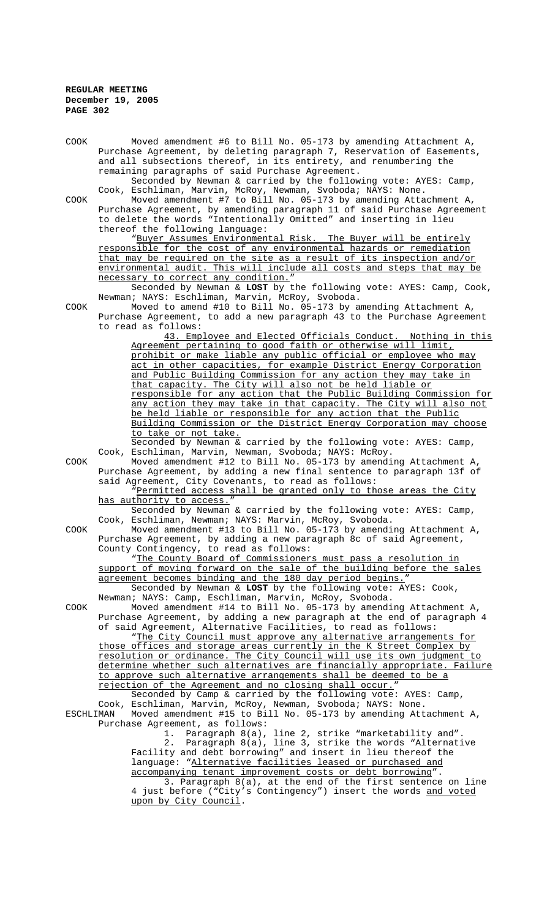| COOK      | Moved amendment #6 to Bill No. 05-173 by amending Attachment A,                                                                            |
|-----------|--------------------------------------------------------------------------------------------------------------------------------------------|
|           | Purchase Agreement, by deleting paragraph 7, Reservation of Easements,                                                                     |
|           | and all subsections thereof, in its entirety, and renumbering the                                                                          |
|           | remaining paragraphs of said Purchase Agreement.                                                                                           |
|           | Seconded by Newman & carried by the following vote: AYES: Camp,                                                                            |
|           | Cook, Eschliman, Marvin, McRoy, Newman, Svoboda; NAYS: None.                                                                               |
| COOK      | Moved amendment #7 to Bill No. 05-173 by amending Attachment A,<br>Purchase Agreement, by amending paragraph 11 of said Purchase Agreement |
|           | to delete the words "Intentionally Omitted" and inserting in lieu                                                                          |
|           | thereof the following language:                                                                                                            |
|           | "Buyer Assumes Environmental Risk. The Buyer will be entirely                                                                              |
|           | responsible for the cost of any environmental hazards or remediation                                                                       |
|           | that may be required on the site as a result of its inspection and/or                                                                      |
|           | environmental audit. This will include all costs and steps that may be                                                                     |
|           | necessary to correct any condition."                                                                                                       |
|           | Seconded by Newman & LOST by the following vote: AYES: Camp, Cook,                                                                         |
|           | Newman; NAYS: Eschliman, Marvin, McRoy, Svoboda.                                                                                           |
| COOK      | Moved to amend #10 to Bill No. 05-173 by amending Attachment A,                                                                            |
|           | Purchase Agreement, to add a new paragraph 43 to the Purchase Agreement                                                                    |
|           | to read as follows:                                                                                                                        |
|           | 43. Employee and Elected Officials Conduct. Nothing in this                                                                                |
|           | Agreement pertaining to good faith or otherwise will limit,                                                                                |
|           | prohibit or make liable any public official or employee who may                                                                            |
|           | act in other capacities, for example District Energy Corporation                                                                           |
|           | and Public Building Commission for any action they may take in                                                                             |
|           | that capacity. The City will also not be held liable or<br>responsible for any action that the Public Building Commission for              |
|           | any action they may take in that capacity. The City will also not                                                                          |
|           | be held liable or responsible for any action that the Public                                                                               |
|           | Building Commission or the District Energy Corporation may choose                                                                          |
|           | to take or not take.                                                                                                                       |
|           | Seconded by Newman & carried by the following vote: AYES: Camp,                                                                            |
|           | Cook, Eschliman, Marvin, Newman, Svoboda; NAYS: McRoy.                                                                                     |
| COOK      | Moved amendment #12 to Bill No. 05-173 by amending Attachment A,                                                                           |
|           | Purchase Agreement, by adding a new final sentence to paragraph 13f of                                                                     |
|           | said Agreement, City Covenants, to read as follows:                                                                                        |
|           | "Permitted access shall be granted only to those areas the City                                                                            |
|           | has authority to access."                                                                                                                  |
|           | Seconded by Newman & carried by the following vote: AYES: Camp,                                                                            |
|           | Cook, Eschliman, Newman; NAYS: Marvin, McRoy, Svoboda.                                                                                     |
| COOK      | Moved amendment #13 to Bill No. 05-173 by amending Attachment A,                                                                           |
|           | Purchase Agreement, by adding a new paragraph 8c of said Agreement,<br>County Contingency, to read as follows:                             |
|           | "The County Board of Commissioners must pass a resolution in                                                                               |
|           | support of moving forward on the sale of the building before the sales                                                                     |
|           | agreement becomes binding and the 180 day period begins."                                                                                  |
|           | Seconded by Newman & LOST by the following vote: AYES: Cook,                                                                               |
|           | Newman; NAYS: Camp, Eschliman, Marvin, McRoy, Svoboda.                                                                                     |
| COOK      | Moved amendment #14 to Bill No. 05-173 by amending Attachment A,                                                                           |
|           | Purchase Agreement, by adding a new paragraph at the end of paragraph 4                                                                    |
|           | of said Agreement, Alternative Facilities, to read as follows:                                                                             |
|           | "The City Council must approve any alternative arrangements for                                                                            |
|           | those offices and storage areas currently in the K Street Complex by                                                                       |
|           | resolution or ordinance. The City Council will use its own judgment to                                                                     |
|           | determine whether such alternatives are financially appropriate. Failure                                                                   |
|           | to approve such alternative arrangements shall be deemed to be a                                                                           |
|           | rejection of the Agreement and no closing shall occur."<br>Seconded by Camp & carried by the following vote: AYES: Camp,                   |
|           | Cook, Eschliman, Marvin, McRoy, Newman, Svoboda; NAYS: None.                                                                               |
| ESCHLIMAN | Moved amendment #15 to Bill No. 05-173 by amending Attachment A,                                                                           |
|           | Purchase Agreement, as follows:                                                                                                            |
|           | 1. Paragraph 8(a), line 2, strike "marketability and".                                                                                     |
|           | Paragraph 8(a), line 3, strike the words "Alternative<br>2.                                                                                |
|           | Facility and debt borrowing" and insert in lieu thereof the                                                                                |
|           | language: "Alternative facilities leased or purchased and                                                                                  |
|           | accompanying tenant improvement costs or debt borrowing".                                                                                  |
|           | 3. Paragraph 8(a), at the end of the first sentence on line                                                                                |
|           | 4 just before ("City's Contingency") insert the words and voted                                                                            |
|           | upon by City Council.                                                                                                                      |
|           |                                                                                                                                            |
|           |                                                                                                                                            |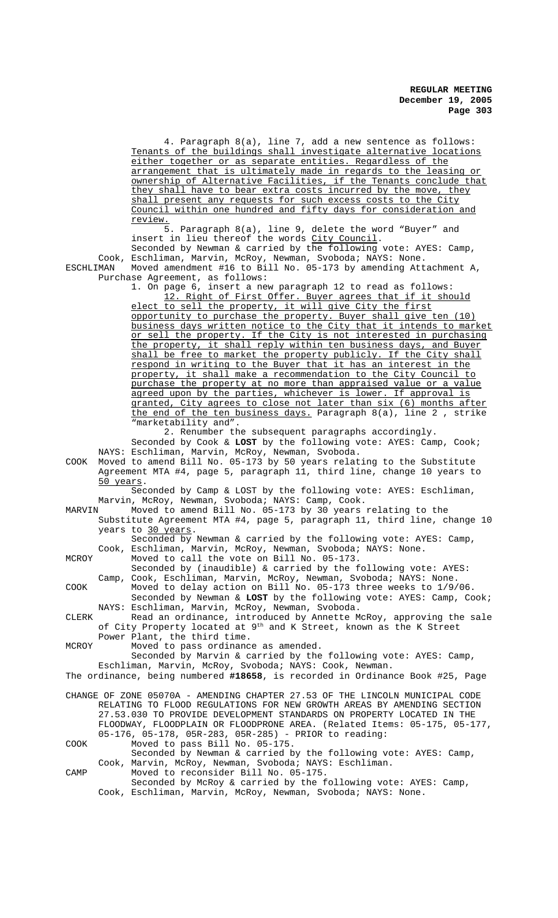4. Paragraph 8(a), line 7, add a new sentence as follows: Tenants of the buildings shall investigate alternative locations either together or as separate entities. Regardless of the arrangement that is ultimately made in regards to the leasing or ownership of Alternative Facilities, if the Tenants conclude that they shall have to bear extra costs incurred by the move, they shall present any requests for such excess costs to the City Council within one hundred and fifty days for consideration and review.

5. Paragraph 8(a), line 9, delete the word "Buyer" and insert in lieu thereof the words City Council. Seconded by Newman & carried by the following vote: AYES: Camp, Cook, Eschliman, Marvin, McRoy, Newman, Svoboda; NAYS: None. ESCHLIMAN Moved amendment #16 to Bill No. 05-173 by amending Attachment A, Purchase Agreement, as follows:

> 1. On page 6, insert a new paragraph 12 to read as follows: 12. Right of First Offer. Buyer agrees that if it should elect to sell the property, it will give City the first opportunity to purchase the property. Buyer shall give ten (10) business days written notice to the City that it intends to market or sell the property. If the City is not interested in purchasing the property, it shall reply within ten business days, and Buyer shall be free to market the property publicly. If the City shall respond in writing to the Buyer that it has an interest in the property, it shall make a recommendation to the City Council to purchase the property at no more than appraised value or a value agreed upon by the parties, whichever is lower. If approval is granted, City agrees to close not later than six (6) months after the end of the ten business days. Paragraph 8(a), line 2, strike "marketability and".

2. Renumber the subsequent paragraphs accordingly. Seconded by Cook & **LOST** by the following vote: AYES: Camp, Cook; NAYS: Eschliman, Marvin, McRoy, Newman, Svoboda.

COOK Moved to amend Bill No. 05-173 by 50 years relating to the Substitute Agreement MTA #4, page 5, paragraph 11, third line, change 10 years to 50 years.

Seconded by Camp & LOST by the following vote: AYES: Eschliman, Marvin, McRoy, Newman, Svoboda; NAYS: Camp, Cook.<br>MARVIN Moved to amend Bill No. 05-173 by 30 years

Moved to amend Bill No. 05-173 by 30 years relating to the Substitute Agreement MTA #4, page 5, paragraph 11, third line, change 10 years to 30 years.

Seconded by Newman & carried by the following vote: AYES: Camp, Cook, Eschliman, Marvin, McRoy, Newman, Svoboda; NAYS: None.

MCROY Moved to call the vote on Bill No. 05-173.

Seconded by (inaudible) & carried by the following vote: AYES: Camp, Cook, Eschliman, Marvin, McRoy, Newman, Svoboda; NAYS: None.

COOK Moved to delay action on Bill No. 05-173 three weeks to 1/9/06. Seconded by Newman & **LOST** by the following vote: AYES: Camp, Cook; NAYS: Eschliman, Marvin, McRoy, Newman, Svoboda.

CLERK Read an ordinance, introduced by Annette McRoy, approving the sale of City Property located at 9th and K Street, known as the K Street Power Plant, the third time.

MCROY Moved to pass ordinance as amended.

Seconded by Marvin & carried by the following vote: AYES: Camp, Eschliman, Marvin, McRoy, Svoboda; NAYS: Cook, Newman.

The ordinance, being numbered **#18658**, is recorded in Ordinance Book #25, Page

CHANGE OF ZONE 05070A - AMENDING CHAPTER 27.53 OF THE LINCOLN MUNICIPAL CODE RELATING TO FLOOD REGULATIONS FOR NEW GROWTH AREAS BY AMENDING SECTION 27.53.030 TO PROVIDE DEVELOPMENT STANDARDS ON PROPERTY LOCATED IN THE FLOODWAY, FLOODPLAIN OR FLOODPRONE AREA. (Related Items: 05-175, 05-177, 05-176, 05-178, 05R-283, 05R-285) - PRIOR to reading:

COOK Moved to pass Bill No. 05-175. Seconded by Newman & carried by the following vote: AYES: Camp,

Cook, Marvin, McRoy, Newman, Svoboda; NAYS: Eschliman. CAMP Moved to reconsider Bill No. 05-175. Seconded by McRoy & carried by the following vote: AYES: Camp,

Cook, Eschliman, Marvin, McRoy, Newman, Svoboda; NAYS: None.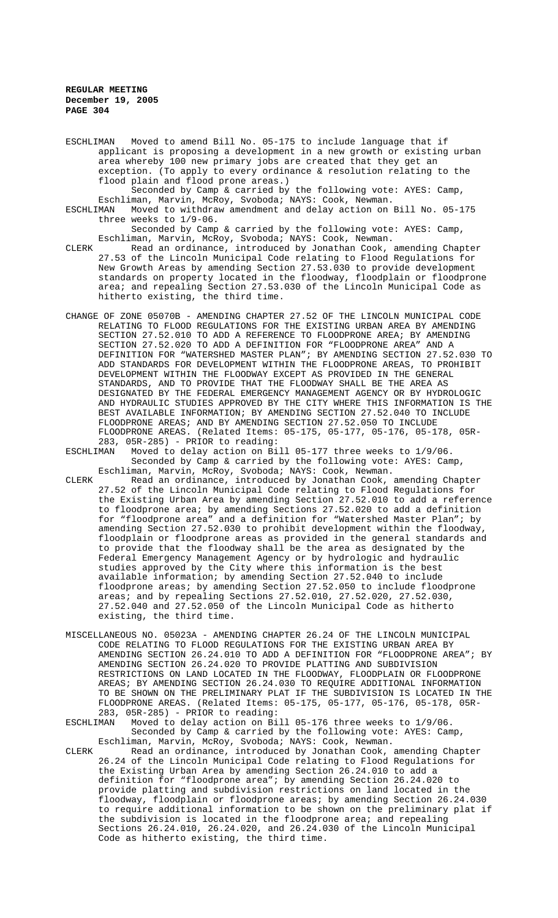ESCHLIMAN Moved to amend Bill No. 05-175 to include language that if applicant is proposing a development in a new growth or existing urban area whereby 100 new primary jobs are created that they get an exception. (To apply to every ordinance & resolution relating to the flood plain and flood prone areas.)

Seconded by Camp & carried by the following vote: AYES: Camp, Eschliman, Marvin, McRoy, Svoboda; NAYS: Cook, Newman. ESCHLIMAN Moved to withdraw amendment and delay action on Bill No. 05-175

three weeks to 1/9-06. Seconded by Camp & carried by the following vote: AYES: Camp, Eschliman, Marvin, McRoy, Svoboda; NAYS: Cook, Newman.

- CLERK Read an ordinance, introduced by Jonathan Cook, amending Chapter 27.53 of the Lincoln Municipal Code relating to Flood Regulations for New Growth Areas by amending Section 27.53.030 to provide development standards on property located in the floodway, floodplain or floodprone area; and repealing Section 27.53.030 of the Lincoln Municipal Code as hitherto existing, the third time.
- CHANGE OF ZONE 05070B AMENDING CHAPTER 27.52 OF THE LINCOLN MUNICIPAL CODE RELATING TO FLOOD REGULATIONS FOR THE EXISTING URBAN AREA BY AMENDING SECTION 27.52.010 TO ADD A REFERENCE TO FLOODPRONE AREA; BY AMENDING SECTION 27.52.020 TO ADD A DEFINITION FOR "FLOODPRONE AREA" AND A DEFINITION FOR "WATERSHED MASTER PLAN"; BY AMENDING SECTION 27.52.030 TO ADD STANDARDS FOR DEVELOPMENT WITHIN THE FLOODPRONE AREAS, TO PROHIBIT DEVELOPMENT WITHIN THE FLOODWAY EXCEPT AS PROVIDED IN THE GENERAL STANDARDS, AND TO PROVIDE THAT THE FLOODWAY SHALL BE THE AREA AS DESIGNATED BY THE FEDERAL EMERGENCY MANAGEMENT AGENCY OR BY HYDROLOGIC AND HYDRAULIC STUDIES APPROVED BY THE CITY WHERE THIS INFORMATION IS THE BEST AVAILABLE INFORMATION; BY AMENDING SECTION 27.52.040 TO INCLUDE FLOODPRONE AREAS; AND BY AMENDING SECTION 27.52.050 TO INCLUDE FLOODPRONE AREAS. (Related Items: 05-175, 05-177, 05-176, 05-178, 05R-283, 05R-285) - PRIOR to reading:

ESCHLIMAN Moved to delay action on Bill 05-177 three weeks to 1/9/06. Seconded by Camp & carried by the following vote: AYES: Camp,

- Eschliman, Marvin, McRoy, Svoboda; NAYS: Cook, Newman. CLERK Read an ordinance, introduced by Jonathan Cook, amending Chapter 27.52 of the Lincoln Municipal Code relating to Flood Regulations for the Existing Urban Area by amending Section 27.52.010 to add a reference to floodprone area; by amending Sections 27.52.020 to add a definition for "floodprone area" and a definition for "Watershed Master Plan"; by amending Section 27.52.030 to prohibit development within the floodway, floodplain or floodprone areas as provided in the general standards and to provide that the floodway shall be the area as designated by the Federal Emergency Management Agency or by hydrologic and hydraulic studies approved by the City where this information is the best available information; by amending Section 27.52.040 to include floodprone areas; by amending Section 27.52.050 to include floodprone areas; and by repealing Sections 27.52.010, 27.52.020, 27.52.030, 27.52.040 and 27.52.050 of the Lincoln Municipal Code as hitherto existing, the third time.
- MISCELLANEOUS NO. 05023A AMENDING CHAPTER 26.24 OF THE LINCOLN MUNICIPAL CODE RELATING TO FLOOD REGULATIONS FOR THE EXISTING URBAN AREA BY AMENDING SECTION 26.24.010 TO ADD A DEFINITION FOR "FLOODPRONE AREA"; BY AMENDING SECTION 26.24.020 TO PROVIDE PLATTING AND SUBDIVISION RESTRICTIONS ON LAND LOCATED IN THE FLOODWAY, FLOODPLAIN OR FLOODPRONE AREAS; BY AMENDING SECTION 26.24.030 TO REQUIRE ADDITIONAL INFORMATION TO BE SHOWN ON THE PRELIMINARY PLAT IF THE SUBDIVISION IS LOCATED IN THE FLOODPRONE AREAS. (Related Items: 05-175, 05-177, 05-176, 05-178, 05R-

283, 05R-285) - PRIOR to reading: Moved to delay action on Bill 05-176 three weeks to 1/9/06. Seconded by Camp & carried by the following vote: AYES: Camp, Eschliman, Marvin, McRoy, Svoboda; NAYS: Cook, Newman.

CLERK Read an ordinance, introduced by Jonathan Cook, amending Chapter 26.24 of the Lincoln Municipal Code relating to Flood Regulations for the Existing Urban Area by amending Section 26.24.010 to add a definition for "floodprone area"; by amending Section 26.24.020 to provide platting and subdivision restrictions on land located in the floodway, floodplain or floodprone areas; by amending Section 26.24.030 to require additional information to be shown on the preliminary plat if the subdivision is located in the floodprone area; and repealing Sections 26.24.010, 26.24.020, and 26.24.030 of the Lincoln Municipal Code as hitherto existing, the third time.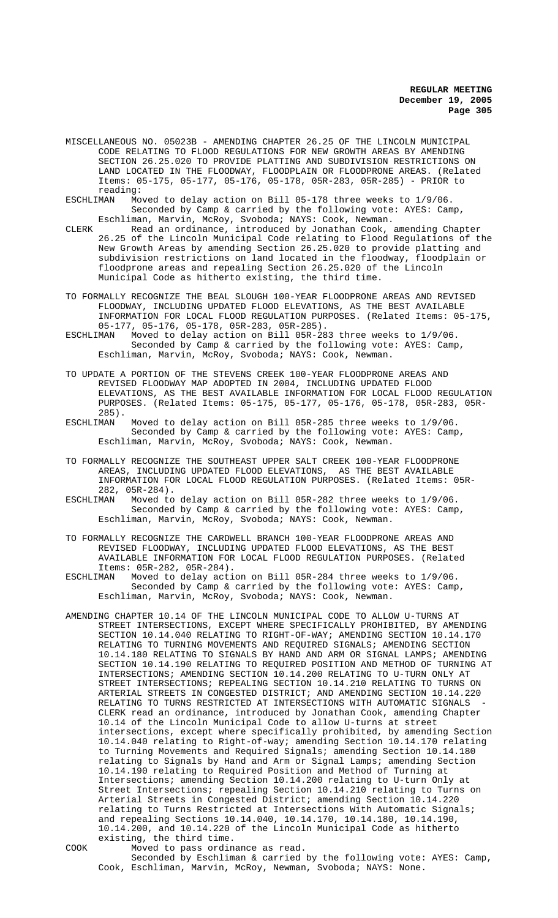- MISCELLANEOUS NO. 05023B AMENDING CHAPTER 26.25 OF THE LINCOLN MUNICIPAL CODE RELATING TO FLOOD REGULATIONS FOR NEW GROWTH AREAS BY AMENDING SECTION 26.25.020 TO PROVIDE PLATTING AND SUBDIVISION RESTRICTIONS ON LAND LOCATED IN THE FLOODWAY, FLOODPLAIN OR FLOODPRONE AREAS. (Related Items: 05-175, 05-177, 05-176, 05-178, 05R-283, 05R-285) - PRIOR to reading:<br>ESCHLIMAN Mo
- Moved to delay action on Bill 05-178 three weeks to 1/9/06. Seconded by Camp & carried by the following vote: AYES: Camp, Eschliman, Marvin, McRoy, Svoboda; NAYS: Cook, Newman.
- CLERK Read an ordinance, introduced by Jonathan Cook, amending Chapter 26.25 of the Lincoln Municipal Code relating to Flood Regulations of the New Growth Areas by amending Section 26.25.020 to provide platting and subdivision restrictions on land located in the floodway, floodplain or floodprone areas and repealing Section 26.25.020 of the Lincoln Municipal Code as hitherto existing, the third time.
- TO FORMALLY RECOGNIZE THE BEAL SLOUGH 100-YEAR FLOODPRONE AREAS AND REVISED FLOODWAY, INCLUDING UPDATED FLOOD ELEVATIONS, AS THE BEST AVAILABLE INFORMATION FOR LOCAL FLOOD REGULATION PURPOSES. (Related Items: 05-175, 05-177, 05-176, 05-178, 05R-283, 05R-285).
- ESCHLIMAN Moved to delay action on Bill 05R-283 three weeks to 1/9/06. Seconded by Camp & carried by the following vote: AYES: Camp, Eschliman, Marvin, McRoy, Svoboda; NAYS: Cook, Newman.
- TO UPDATE A PORTION OF THE STEVENS CREEK 100-YEAR FLOODPRONE AREAS AND REVISED FLOODWAY MAP ADOPTED IN 2004, INCLUDING UPDATED FLOOD ELEVATIONS, AS THE BEST AVAILABLE INFORMATION FOR LOCAL FLOOD REGULATION PURPOSES. (Related Items: 05-175, 05-177, 05-176, 05-178, 05R-283, 05R-285).<br>ESCHLIMAN
- Moved to delay action on Bill 05R-285 three weeks to  $1/9/06$ . Seconded by Camp & carried by the following vote: AYES: Camp, Eschliman, Marvin, McRoy, Svoboda; NAYS: Cook, Newman.
- TO FORMALLY RECOGNIZE THE SOUTHEAST UPPER SALT CREEK 100-YEAR FLOODPRONE AREAS, INCLUDING UPDATED FLOOD ELEVATIONS, AS THE BEST AVAILABLE INFORMATION FOR LOCAL FLOOD REGULATION PURPOSES. (Related Items: 05R-282, 05R-284).
- ESCHLIMAN Moved to delay action on Bill 05R-282 three weeks to 1/9/06. Seconded by Camp & carried by the following vote: AYES: Camp, Eschliman, Marvin, McRoy, Svoboda; NAYS: Cook, Newman.
- TO FORMALLY RECOGNIZE THE CARDWELL BRANCH 100-YEAR FLOODPRONE AREAS AND REVISED FLOODWAY, INCLUDING UPDATED FLOOD ELEVATIONS, AS THE BEST AVAILABLE INFORMATION FOR LOCAL FLOOD REGULATION PURPOSES. (Related Items: 05R-282, 05R-284).
- ESCHLIMAN Moved to delay action on Bill 05R-284 three weeks to 1/9/06. Seconded by Camp & carried by the following vote: AYES: Camp, Eschliman, Marvin, McRoy, Svoboda; NAYS: Cook, Newman.
- AMENDING CHAPTER 10.14 OF THE LINCOLN MUNICIPAL CODE TO ALLOW U-TURNS AT STREET INTERSECTIONS, EXCEPT WHERE SPECIFICALLY PROHIBITED, BY AMENDING SECTION 10.14.040 RELATING TO RIGHT-OF-WAY; AMENDING SECTION 10.14.170 RELATING TO TURNING MOVEMENTS AND REQUIRED SIGNALS; AMENDING SECTION 10.14.180 RELATING TO SIGNALS BY HAND AND ARM OR SIGNAL LAMPS; AMENDING SECTION 10.14.190 RELATING TO REQUIRED POSITION AND METHOD OF TURNING AT INTERSECTIONS; AMENDING SECTION 10.14.200 RELATING TO U-TURN ONLY AT STREET INTERSECTIONS; REPEALING SECTION 10.14.210 RELATING TO TURNS ON ARTERIAL STREETS IN CONGESTED DISTRICT; AND AMENDING SECTION 10.14.220 RELATING TO TURNS RESTRICTED AT INTERSECTIONS WITH AUTOMATIC SIGNALS CLERK read an ordinance, introduced by Jonathan Cook, amending Chapter 10.14 of the Lincoln Municipal Code to allow U-turns at street intersections, except where specifically prohibited, by amending Section 10.14.040 relating to Right-of-way; amending Section 10.14.170 relating to Turning Movements and Required Signals; amending Section 10.14.180 relating to Signals by Hand and Arm or Signal Lamps; amending Section 10.14.190 relating to Required Position and Method of Turning at Intersections; amending Section 10.14.200 relating to U-turn Only at Street Intersections; repealing Section 10.14.210 relating to Turns on Arterial Streets in Congested District; amending Section 10.14.220 relating to Turns Restricted at Intersections With Automatic Signals; and repealing Sections 10.14.040, 10.14.170, 10.14.180, 10.14.190, 10.14.200, and 10.14.220 of the Lincoln Municipal Code as hitherto existing, the third time.

- COOK Moved to pass ordinance as read.
	- Seconded by Eschliman & carried by the following vote: AYES: Camp, Cook, Eschliman, Marvin, McRoy, Newman, Svoboda; NAYS: None.